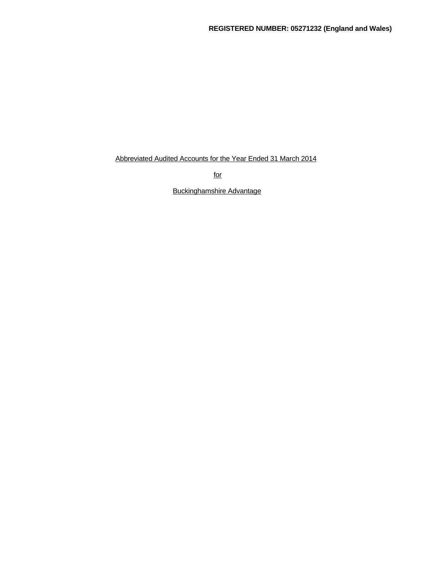Abbreviated Audited Accounts for the Year Ended 31 March 2014

for

Buckinghamshire Advantage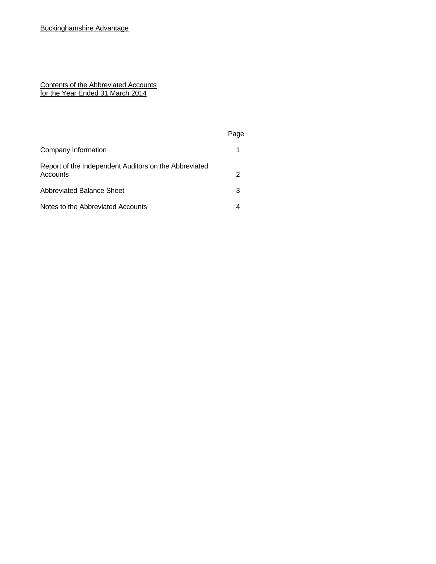### Contents of the Abbreviated Accounts for the Year Ended 31 March 2014

|                                                                   | Page |  |
|-------------------------------------------------------------------|------|--|
| Company Information                                               |      |  |
| Report of the Independent Auditors on the Abbreviated<br>Accounts | 2    |  |
| Abbreviated Balance Sheet                                         | 3    |  |
| Notes to the Abbreviated Accounts                                 | 4    |  |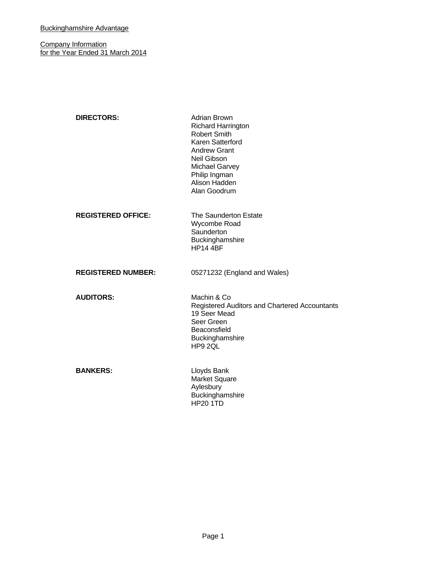**Company Information** for the Year Ended 31 March 2014

| <b>DIRECTORS:</b>         | <b>Adrian Brown</b><br><b>Richard Harrington</b><br><b>Robert Smith</b><br>Karen Satterford<br><b>Andrew Grant</b><br>Neil Gibson<br><b>Michael Garvey</b><br>Philip Ingman<br>Alison Hadden<br>Alan Goodrum |
|---------------------------|--------------------------------------------------------------------------------------------------------------------------------------------------------------------------------------------------------------|
| <b>REGISTERED OFFICE:</b> | The Saunderton Estate<br>Wycombe Road<br>Saunderton<br>Buckinghamshire<br><b>HP14 4BF</b>                                                                                                                    |
| <b>REGISTERED NUMBER:</b> | 05271232 (England and Wales)                                                                                                                                                                                 |
| <b>AUDITORS:</b>          | Machin & Co<br>Registered Auditors and Chartered Accountants<br>19 Seer Mead<br>Seer Green<br>Beaconsfield<br>Buckinghamshire<br>HP9 2QL                                                                     |
| <b>BANKERS:</b>           | Lloyds Bank<br>Market Square<br>Aylesbury<br>Buckinghamshire<br><b>HP20 1TD</b>                                                                                                                              |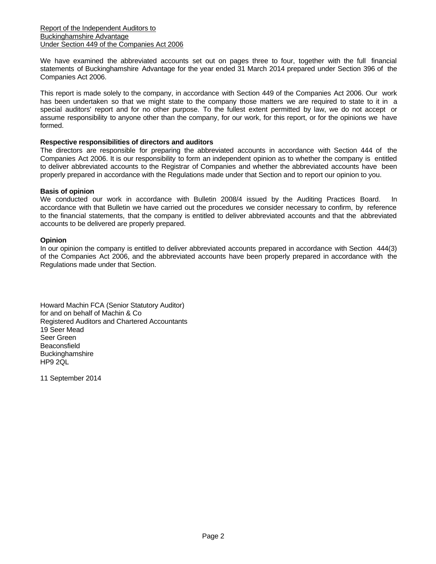We have examined the abbreviated accounts set out on pages three to four, together with the full financial statements of Buckinghamshire Advantage for the year ended 31 March 2014 prepared under Section 396 of the Companies Act 2006.

This report is made solely to the company, in accordance with Section 449 of the Companies Act 2006. Our work has been undertaken so that we might state to the company those matters we are required to state to it in a special auditors' report and for no other purpose. To the fullest extent permitted by law, we do not accept or assume responsibility to anyone other than the company, for our work, for this report, or for the opinions we have formed.

## **Respective responsibilities of directors and auditors**

The directors are responsible for preparing the abbreviated accounts in accordance with Section 444 of the Companies Act 2006. It is our responsibility to form an independent opinion as to whether the company is entitled to deliver abbreviated accounts to the Registrar of Companies and whether the abbreviated accounts have been properly prepared in accordance with the Regulations made under that Section and to report our opinion to you.

### **Basis of opinion**

We conducted our work in accordance with Bulletin 2008/4 issued by the Auditing Practices Board. In accordance with that Bulletin we have carried out the procedures we consider necessary to confirm, by reference to the financial statements, that the company is entitled to deliver abbreviated accounts and that the abbreviated accounts to be delivered are properly prepared.

### **Opinion**

In our opinion the company is entitled to deliver abbreviated accounts prepared in accordance with Section 444(3) of the Companies Act 2006, and the abbreviated accounts have been properly prepared in accordance with the Regulations made under that Section.

Howard Machin FCA (Senior Statutory Auditor) for and on behalf of Machin & Co Registered Auditors and Chartered Accountants 19 Seer Mead Seer Green **Beaconsfield Buckinghamshire** HP9 2QL

11 September 2014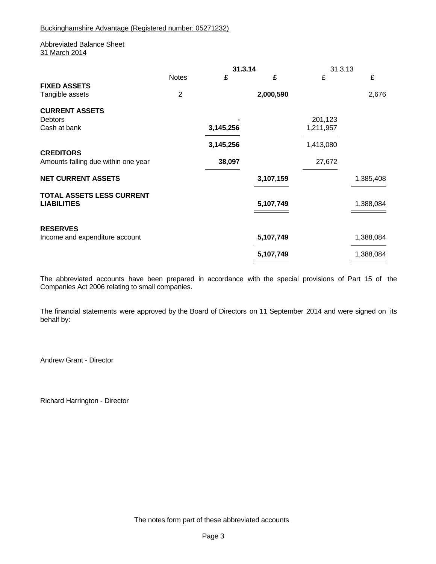Buckinghamshire Advantage (Registered number: 05271232)

### Abbreviated Balance Sheet 31 March 2014

|                                     |                | 31.3.14   |           | 31.3.13   |           |  |
|-------------------------------------|----------------|-----------|-----------|-----------|-----------|--|
|                                     | <b>Notes</b>   | £         | £         | £         | £         |  |
| <b>FIXED ASSETS</b>                 |                |           |           |           |           |  |
| Tangible assets                     | $\overline{c}$ |           | 2,000,590 |           | 2,676     |  |
| <b>CURRENT ASSETS</b>               |                |           |           |           |           |  |
| Debtors                             |                |           |           | 201,123   |           |  |
| Cash at bank                        |                | 3,145,256 |           | 1,211,957 |           |  |
|                                     |                | 3,145,256 |           | 1,413,080 |           |  |
| <b>CREDITORS</b>                    |                |           |           |           |           |  |
| Amounts falling due within one year |                | 38,097    |           | 27,672    |           |  |
| <b>NET CURRENT ASSETS</b>           |                |           | 3,107,159 |           | 1,385,408 |  |
| <b>TOTAL ASSETS LESS CURRENT</b>    |                |           |           |           |           |  |
| <b>LIABILITIES</b>                  |                |           | 5,107,749 |           | 1,388,084 |  |
|                                     |                |           |           |           |           |  |
| <b>RESERVES</b>                     |                |           |           |           |           |  |
| Income and expenditure account      |                |           | 5,107,749 |           | 1,388,084 |  |
|                                     |                |           | 5,107,749 |           | 1,388,084 |  |

The abbreviated accounts have been prepared in accordance with the special provisions of Part 15 of the Companies Act 2006 relating to small companies.

The financial statements were approved by the Board of Directors on 11 September 2014 and were signed on its behalf by:

Andrew Grant - Director

Richard Harrington - Director

The notes form part of these abbreviated accounts